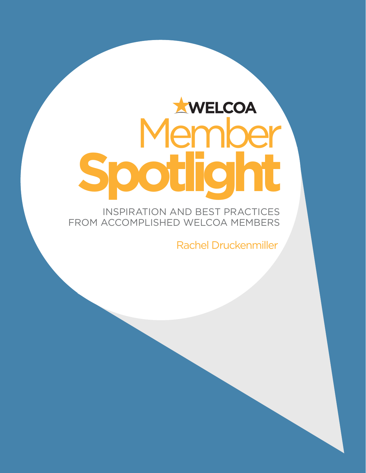# **ENDER Spotlight**

INSPIRATION AND BEST PRACTICES FROM ACCOMPLISHED WELCOA MEMBERS

Rachel Druckenmiller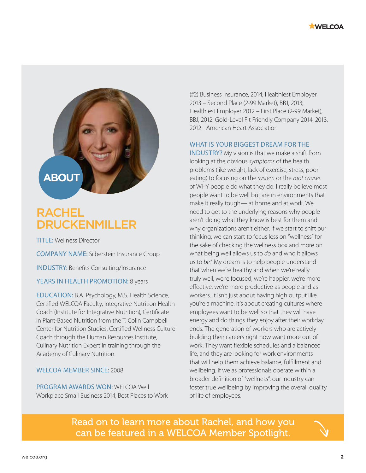



# RACHEL DRUCKENMILLER

TITLE: Wellness Director

COMPANY NAME: Silberstein Insurance Group

INDUSTRY: Benefits Consulting/Insurance

YEARS IN HEALTH PROMOTION: 8 years

EDUCATION: B.A. Psychology, M.S. Health Science, Certified WELCOA Faculty, Integrative Nutrition Health Coach (Institute for Integrative Nutrition), Certificate in Plant-Based Nutrition from the T. Colin Campbell Center for Nutrition Studies, Certified Wellness Culture Coach through the Human Resources Institute, Culinary Nutrition Expert in training through the Academy of Culinary Nutrition.

#### WELCOA MEMBER SINCE: 2008

PROGRAM AWARDS WON: WELCOA Well Workplace Small Business 2014; Best Places to Work

(#2) Business Insurance, 2014; Healthiest Employer 2013 – Second Place (2-99 Market), BBJ, 2013; Healthiest Employer 2012 – First Place (2-99 Market), BBJ, 2012; Gold-Level Fit Friendly Company 2014, 2013, 2012 - American Heart Association

#### WHAT IS YOUR BIGGEST DREAM FOR THE

INDUSTRY? My vision is that we make a shift from looking at the obvious *symptoms* of the health problems (like weight, lack of exercise, stress, poor eating) to focusing on the *system* or the *root causes* of WHY people do what they do. I really believe most people want to be well but are in environments that make it really tough— at home and at work. We need to get to the underlying reasons why people aren't doing what they know is best for them and why organizations aren't either. If we start to shift our thinking, we can start to focus less on "wellness" for the sake of checking the wellness box and more on what being well allows us to *do* and who it allows us to *be*." My dream is to help people understand that when we're healthy and when we're really truly well, we're focused, we're happier, we're more effective, we're more productive as people and as workers. It isn't just about having high output like you're a machine. It's about creating cultures where employees want to be well so that they will have energy and do things they enjoy after their workday ends. The generation of workers who are actively building their careers right now want more out of work. They want flexible schedules and a balanced life, and they are looking for work environments that will help them achieve balance, fulfillment and wellbeing. If we as professionals operate within a broader definition of "wellness", our industry can foster true wellbeing by improving the overall quality of life of employees.

Read on to learn more about Rachel, and how you can be featured in a WELCOA Member Spotlight.

 $\mathcal{A}$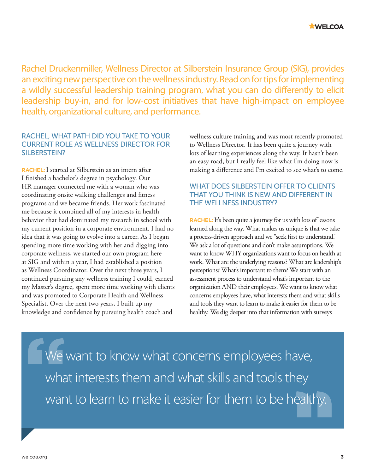

Rachel Druckenmiller, Wellness Director at Silberstein Insurance Group (SIG), provides an exciting new perspective on the wellness industry. Read on for tips for implementing a wildly successful leadership training program, what you can do differently to elicit leadership buy-in, and for low-cost initiatives that have high-impact on employee health, organizational culture, and performance.

#### RACHEL, WHAT PATH DID YOU TAKE TO YOUR CURRENT ROLE AS WELLNESS DIRECTOR FOR SILBERSTEIN?

**RACHEL:**I started at Silberstein as an intern after I finished a bachelor's degree in psychology. Our HR manager connected me with a woman who was coordinating onsite walking challenges and fitness programs and we became friends. Her work fascinated me because it combined all of my interests in health behavior that had dominated my research in school with my current position in a corporate environment. I had no idea that it was going to evolve into a career. As I began spending more time working with her and digging into corporate wellness, we started our own program here at SIG and within a year, I had established a position as Wellness Coordinator. Over the next three years, I continued pursuing any wellness training I could, earned my Master's degree, spent more time working with clients and was promoted to Corporate Health and Wellness Specialist. Over the next two years, I built up my knowledge and confidence by pursuing health coach and

wellness culture training and was most recently promoted to Wellness Director. It has been quite a journey with lots of learning experiences along the way. It hasn't been an easy road, but I really feel like what I'm doing now is making a difference and I'm excited to see what's to come.

# WHAT DOES SILBERSTEIN OFFER TO CLIENTS THAT YOU THINK IS NEW AND DIFFERENT IN THE WELLNESS INDUSTRY?

**RACHEL:** It's been quite a journey for us with lots of lessons learned along the way. What makes us unique is that we take a process-driven approach and we "seek first to understand." We ask a lot of questions and don't make assumptions. We want to know WHY organizations want to focus on health at work. What are the underlying reasons? What are leadership's perceptions? What's important to them? We start with an assessment process to understand what's important to the organization AND their employees. We want to know what concerns employees have, what interests them and what skills and tools they want to learn to make it easier for them to be healthy. We dig deeper into that information with surveys

We want to know what concerns employees have, what interests them and what skills and tools they want to learn to make it easier for them to be healthy.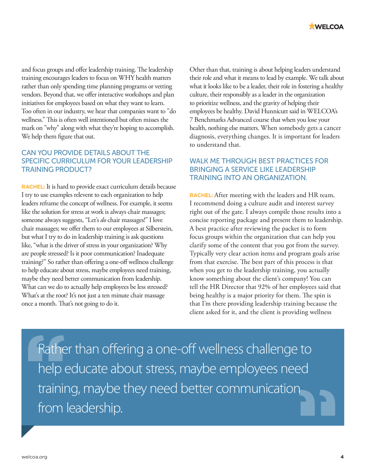and focus groups and offer leadership training. The leadership training encourages leaders to focus on WHY health matters rather than only spending time planning programs or vetting vendors. Beyond that, we offer interactive workshops and plan initiatives for employees based on what they want to learn. Too often in our industry, we hear that companies want to "do wellness." This is often well intentioned but often misses the mark on "why" along with what they're hoping to accomplish. We help them figure that out.

# CAN YOU PROVIDE DETAILS ABOUT THE SPECIFIC CURRICULUM FOR YOUR LEADERSHIP TRAINING PRODUCT?

**RACHEL:** It is hard to provide exact curriculum details because I try to use examples relevent to each organization to help leaders reframe the concept of wellness. For example, it seems like the solution for stress at work is always chair massages; someone always suggests, "Let's *do* chair massages!" I love chair massages; we offer them to our employees at Silberstein, but what I try to do in leadership training is ask questions like, "what is the driver of stress in your organization? Why are people stressed? Is it poor communication? Inadequate training?" So rather than offering a one-off wellness challenge to help educate about stress, maybe employees need training, maybe they need better communication from leadership. What can we do to actually help employees be less stressed? What's at the root? It's not just a ten minute chair massage once a month. That's not going to do it.

Other than that, training is about helping leaders understand their role and what it means to lead by example. We talk about what it looks like to be a leader, their role in fostering a healthy culture, their responsibly as a leader in the organization to prioritize wellness, and the gravity of helping their employees be healthy. David Hunnicutt said in WELCOA's 7 Benchmarks Advanced course that when you lose your health, nothing else matters. When somebody gets a cancer diagnosis, everything changes. It is important for leaders to understand that.

# WALK ME THROUGH BEST PRACTICES FOR BRINGING A SERVICE LIKE LEADERSHIP TRAINING INTO AN ORGANIZATION.

**RACHEL:** After meeting with the leaders and HR team, I recommend doing a culture audit and interest survey right out of the gate. I always compile those results into a concise reporting package and present them to leadership. A best practice after reviewing the packet is to form focus groups within the organization that can help you clarify some of the content that you got from the survey. Typically very clear action items and program goals arise from that exercise. The best part of this process is that when you get to the leadership training, you actually know something about the client's company! You can tell the HR Director that 92% of her employees said that being healthy is a major priority for them. The spin is that I'm there providing leadership training because the client asked for it, and the client is providing wellness

Rather than offering a one-off wellness challenge to help educate about stress, maybe employees need training, maybe they need better communication from leadership.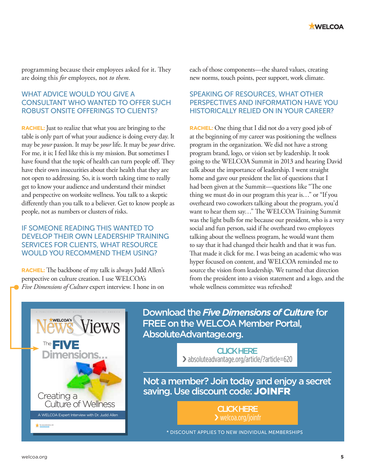

programming because their employees asked for it. They are doing this *for* employees, not *to them*.

## WHAT ADVICE WOULD YOU GIVE A CONSULTANT WHO WANTED TO OFFER SUCH ROBUST ONSITE OFFERINGS TO CLIENTS?

**RACHEL:** Just to realize that what you are bringing to the table is only part of what your audience is doing every day. It may be *your* passion. It may be *your* life. It may be *your* drive. For me, it is; I feel like this is my mission. But sometimes I have found that the topic of health can turn people off. They have their own insecurities about their health that they are not open to addressing. So, it is worth taking time to really get to know your audience and understand their mindset and perspective on worksite wellness. You talk to a skeptic differently than you talk to a believer. Get to know people as people, not as numbers or clusters of risks.

### IF SOMEONE READING THIS WANTED TO DEVELOP THEIR OWN LEADERSHIP TRAINING SERVICES FOR CLIENTS, WHAT RESOURCE WOULD YOU RECOMMEND THEM USING?

**RACHEL:** The backbone of my talk is always Judd Allen's perspective on culture creation. I use WELCOA's *Five Dimensions of Culture* expert interview. I hone in on

each of those components—the shared values, creating new norms, touch points, peer support, work climate.

# SPEAKING OF RESOURCES, WHAT OTHER PERSPECTIVES AND INFORMATION HAVE YOU HISTORICALLY RELIED ON IN YOUR CAREER?

**RACHEL:** One thing that I did not do a very good job of at the beginning of my career was positioning the wellness program in the organization. We did not have a strong program brand, logo, or vision set by leadership. It took going to the WELCOA Summit in 2013 and hearing David talk about the importance of leadership. I went straight home and gave our president the list of questions that I had been given at the Summit—questions like "The one thing we must do in our program this year is…" or "If you overheard two coworkers talking about the program, you'd want to hear them say…" The WELCOA Training Summit was the light bulb for me because our president, who is a very social and fun person, said if he overheard two employees talking about the wellness program, he would want them to say that it had changed their health and that it was fun. That made it click for me. I was being an academic who was hyper focused on content, and WELCOA reminded me to source the vision from leadership. We turned that direction from the president into a vision statement and a logo, and the whole wellness committee was refreshed!



Download the *Five Dimensions of Culture* for FREE on the WELCOA Member Portal, AbsoluteAdvantage.org.

> CLICK HERE › [absoluteadvantage.org/article/?article=620](http://absoluteadvantage.org/article/?article=620)

Not a member? Join today and enjoy a secret saving. Use discount code: JOINFR

> **CLICK HERE** › [welcoa.org/joinfr](http://welcoa.org/joinfr)

\* DISCOUNT APPLIES TO NEW INDIVIDUAL MEMBERSHIPS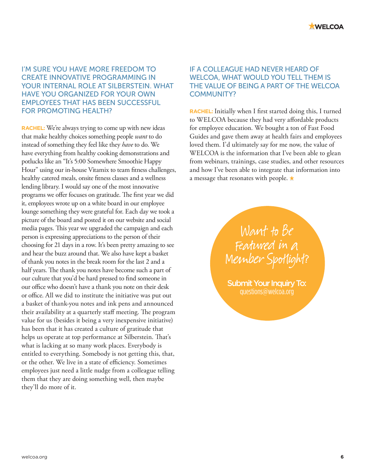

## I'M SURE YOU HAVE MORE FREEDOM TO CREATE INNOVATIVE PROGRAMMING IN YOUR INTERNAL ROLE AT SILBERSTEIN. WHAT HAVE YOU ORGANIZED FOR YOUR OWN EMPLOYEES THAT HAS BEEN SUCCESSFUL FOR PROMOTING HEALTH?

**RACHEL:** We're always trying to come up with new ideas that make healthy choices something people *want* to do instead of something they feel like they *have* to do. We have everything from healthy cooking demonstrations and potlucks like an "It's 5:00 Somewhere Smoothie Happy Hour" using our in-house Vitamix to team fitness challenges, healthy catered meals, onsite fitness classes and a wellness lending library. I would say one of the most innovative programs we offer focuses on gratitude. The first year we did it, employees wrote up on a white board in our employee lounge something they were grateful for. Each day we took a picture of the board and posted it on our website and social media pages. This year we upgraded the campaign and each person is expressing appreciations to the person of their choosing for 21 days in a row. It's been pretty amazing to see and hear the buzz around that. We also have kept a basket of thank you notes in the break room for the last 2 and a half years. The thank you notes have become such a part of our culture that you'd be hard pressed to find someone in our office who doesn't have a thank you note on their desk or office. All we did to institute the initiative was put out a basket of thank-you notes and ink pens and announced their availability at a quarterly staff meeting. The program value for us (besides it being a very inexpensive initiative) has been that it has created a culture of gratitude that helps us operate at top performance at Silberstein. That's what is lacking at so many work places. Everybody is entitled to everything. Somebody is not getting this, that, or the other. We live in a state of efficiency. Sometimes employees just need a little nudge from a colleague telling them that they are doing something well, then maybe they'll do more of it.

#### IF A COLLEAGUE HAD NEVER HEARD OF WELCOA, WHAT WOULD YOU TELL THEM IS THE VALUE OF BEING A PART OF THE WELCOA COMMUNITY?

**RACHEL:** Initially when I first started doing this, I turned to WELCOA because they had very affordable products for employee education. We bought a ton of Fast Food Guides and gave them away at health fairs and employees loved them. I'd ultimately say for me now, the value of WELCOA is the information that I've been able to glean from webinars, trainings, case studies, and other resources and how I've been able to integrate that information into a message that resonates with people.  $\star$ 

> Want to Be Featured in a [Member Spotlight?](mailto:questions%40welcoa.org?subject=Member%20Spotlight%20Inquiry)

Submit Your Inquiry To: questions@welcoa.org